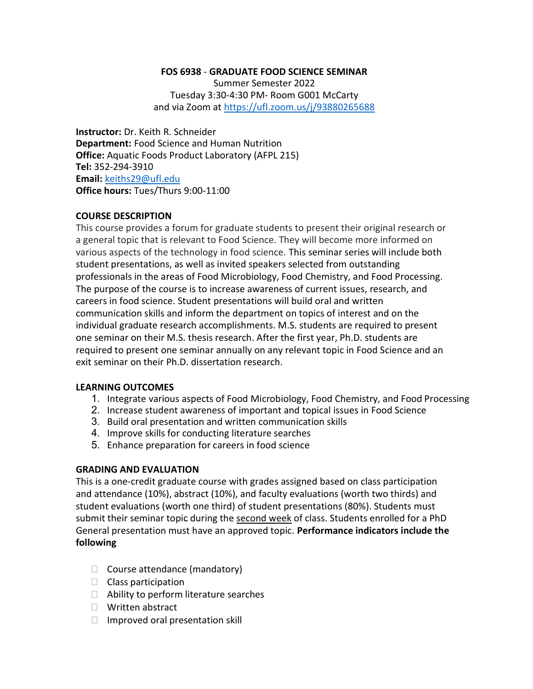#### FOS 6938 - GRADUATE FOOD SCIENCE SEMINAR

Summer Semester 2022 Tuesday 3:30-4:30 PM- Room G001 McCarty and via Zoom at https://ufl.zoom.us/j/93880265688

Instructor: Dr. Keith R. Schneider Department: Food Science and Human Nutrition Office: Aquatic Foods Product Laboratory (AFPL 215) Tel: 352-294-3910 Email: keiths29@ufl.edu Office hours: Tues/Thurs 9:00-11:00

#### COURSE DESCRIPTION

This course provides a forum for graduate students to present their original research or a general topic that is relevant to Food Science. They will become more informed on various aspects of the technology in food science. This seminar series will include both student presentations, as well as invited speakers selected from outstanding professionals in the areas of Food Microbiology, Food Chemistry, and Food Processing. The purpose of the course is to increase awareness of current issues, research, and careers in food science. Student presentations will build oral and written communication skills and inform the department on topics of interest and on the individual graduate research accomplishments. M.S. students are required to present one seminar on their M.S. thesis research. After the first year, Ph.D. students are required to present one seminar annually on any relevant topic in Food Science and an exit seminar on their Ph.D. dissertation research.

### LEARNING OUTCOMES

- 1. Integrate various aspects of Food Microbiology, Food Chemistry, and Food Processing
- 2. Increase student awareness of important and topical issues in Food Science
- 3. Build oral presentation and written communication skills
- 4. Improve skills for conducting literature searches
- 5. Enhance preparation for careers in food science

#### GRADING AND EVALUATION

This is a one-credit graduate course with grades assigned based on class participation and attendance (10%), abstract (10%), and faculty evaluations (worth two thirds) and student evaluations (worth one third) of student presentations (80%). Students must submit their seminar topic during the second week of class. Students enrolled for a PhD General presentation must have an approved topic. Performance indicators include the following

- $\Box$  Course attendance (mandatory)
- $\Box$  Class participation
- $\Box$  Ability to perform literature searches
- □ Written abstract
- $\Box$  Improved oral presentation skill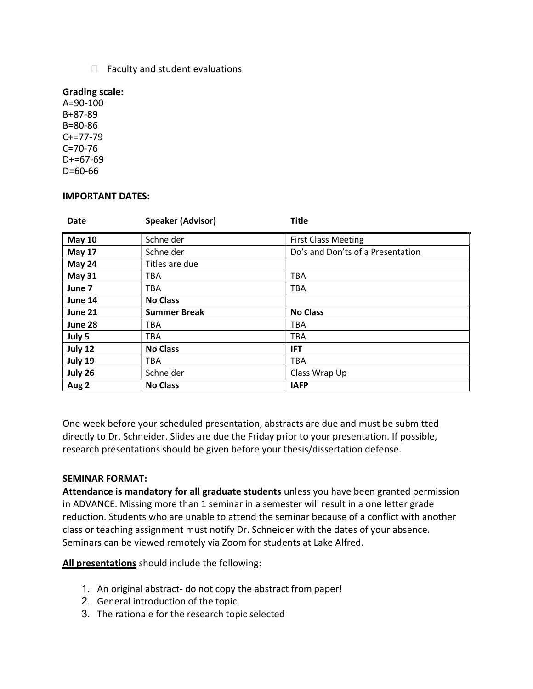$\Box$  Faculty and student evaluations

#### Grading scale:

A=90-100 B+87-89 B=80-86 C+=77-79 C=70-76  $D+=67-69$ D=60-66

#### IMPORTANT DATES:

| <b>Date</b>   | <b>Speaker (Advisor)</b> | <b>Title</b>                      |
|---------------|--------------------------|-----------------------------------|
| <b>May 10</b> | Schneider                | <b>First Class Meeting</b>        |
| <b>May 17</b> | Schneider                | Do's and Don'ts of a Presentation |
| May 24        | Titles are due           |                                   |
| <b>May 31</b> | <b>TBA</b>               | <b>TBA</b>                        |
| June 7        | <b>TBA</b>               | <b>TBA</b>                        |
| June 14       | <b>No Class</b>          |                                   |
| June 21       | <b>Summer Break</b>      | <b>No Class</b>                   |
| June 28       | TBA                      | <b>TBA</b>                        |
| July 5        | TBA                      | <b>TBA</b>                        |
| July 12       | <b>No Class</b>          | <b>IFT</b>                        |
| July 19       | TBA                      | <b>TBA</b>                        |
| July 26       | Schneider                | Class Wrap Up                     |
| Aug 2         | <b>No Class</b>          | <b>IAFP</b>                       |

One week before your scheduled presentation, abstracts are due and must be submitted directly to Dr. Schneider. Slides are due the Friday prior to your presentation. If possible, research presentations should be given before your thesis/dissertation defense.

### SEMINAR FORMAT:

Attendance is mandatory for all graduate students unless you have been granted permission in ADVANCE. Missing more than 1 seminar in a semester will result in a one letter grade reduction. Students who are unable to attend the seminar because of a conflict with another class or teaching assignment must notify Dr. Schneider with the dates of your absence. Seminars can be viewed remotely via Zoom for students at Lake Alfred.

All presentations should include the following:

- 1. An original abstract- do not copy the abstract from paper!
- 2. General introduction of the topic
- 3. The rationale for the research topic selected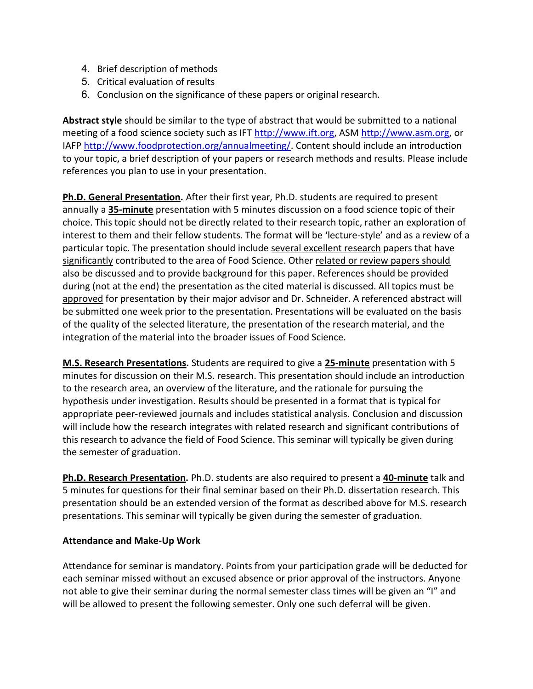- 4. Brief description of methods
- 5. Critical evaluation of results
- 6. Conclusion on the significance of these papers or original research.

Abstract style should be similar to the type of abstract that would be submitted to a national meeting of a food science society such as IFT http://www.ift.org, ASM http://www.asm.org, or IAFP http://www.foodprotection.org/annualmeeting/. Content should include an introduction to your topic, a brief description of your papers or research methods and results. Please include references you plan to use in your presentation.

Ph.D. General Presentation. After their first year, Ph.D. students are required to present annually a 35-minute presentation with 5 minutes discussion on a food science topic of their choice. This topic should not be directly related to their research topic, rather an exploration of interest to them and their fellow students. The format will be 'lecture-style' and as a review of a particular topic. The presentation should include several excellent research papers that have significantly contributed to the area of Food Science. Other related or review papers should also be discussed and to provide background for this paper. References should be provided during (not at the end) the presentation as the cited material is discussed. All topics must be approved for presentation by their major advisor and Dr. Schneider. A referenced abstract will be submitted one week prior to the presentation. Presentations will be evaluated on the basis of the quality of the selected literature, the presentation of the research material, and the integration of the material into the broader issues of Food Science.

M.S. Research Presentations. Students are required to give a 25-minute presentation with 5 minutes for discussion on their M.S. research. This presentation should include an introduction to the research area, an overview of the literature, and the rationale for pursuing the hypothesis under investigation. Results should be presented in a format that is typical for appropriate peer-reviewed journals and includes statistical analysis. Conclusion and discussion will include how the research integrates with related research and significant contributions of this research to advance the field of Food Science. This seminar will typically be given during the semester of graduation.

Ph.D. Research Presentation. Ph.D. students are also required to present a 40-minute talk and 5 minutes for questions for their final seminar based on their Ph.D. dissertation research. This presentation should be an extended version of the format as described above for M.S. research presentations. This seminar will typically be given during the semester of graduation.

## Attendance and Make-Up Work

Attendance for seminar is mandatory. Points from your participation grade will be deducted for each seminar missed without an excused absence or prior approval of the instructors. Anyone not able to give their seminar during the normal semester class times will be given an "I" and will be allowed to present the following semester. Only one such deferral will be given.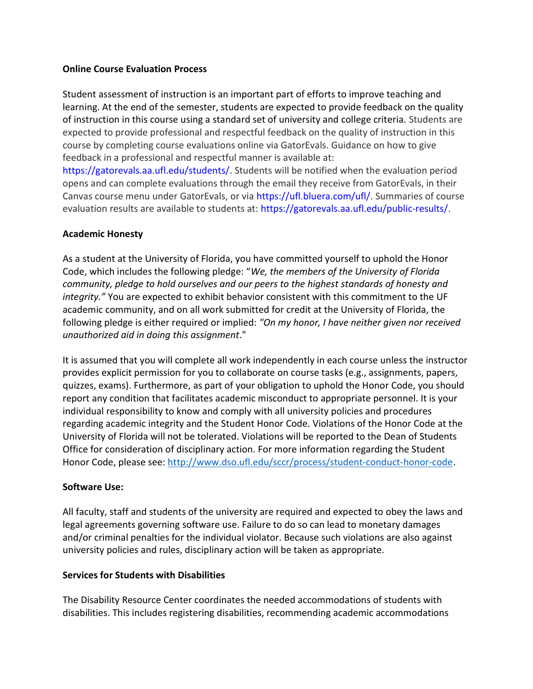### Online Course Evaluation Process

Student assessment of instruction is an important part of efforts to improve teaching and learning. At the end of the semester, students are expected to provide feedback on the quality of instruction in this course using a standard set of university and college criteria. Students are expected to provide professional and respectful feedback on the quality of instruction in this course by completing course evaluations online via GatorEvals. Guidance on how to give feedback in a professional and respectful manner is available at:

https://gatorevals.aa.ufl.edu/students/. Students will be notified when the evaluation period opens and can complete evaluations through the email they receive from GatorEvals, in their Canvas course menu under GatorEvals, or via https://ufl.bluera.com/ufl/. Summaries of course evaluation results are available to students at: https://gatorevals.aa.ufl.edu/public-results/.

## Academic Honesty

As a student at the University of Florida, you have committed yourself to uphold the Honor Code, which includes the following pledge: "We, the members of the University of Florida community, pledge to hold ourselves and our peers to the highest standards of honesty and integrity." You are expected to exhibit behavior consistent with this commitment to the UF academic community, and on all work submitted for credit at the University of Florida, the following pledge is either required or implied: "On my honor, I have neither given nor received unauthorized aid in doing this assignment."

It is assumed that you will complete all work independently in each course unless the instructor provides explicit permission for you to collaborate on course tasks (e.g., assignments, papers, quizzes, exams). Furthermore, as part of your obligation to uphold the Honor Code, you should report any condition that facilitates academic misconduct to appropriate personnel. It is your individual responsibility to know and comply with all university policies and procedures regarding academic integrity and the Student Honor Code. Violations of the Honor Code at the University of Florida will not be tolerated. Violations will be reported to the Dean of Students Office for consideration of disciplinary action. For more information regarding the Student Honor Code, please see: http://www.dso.ufl.edu/sccr/process/student-conduct-honor-code.

## Software Use:

All faculty, staff and students of the university are required and expected to obey the laws and legal agreements governing software use. Failure to do so can lead to monetary damages and/or criminal penalties for the individual violator. Because such violations are also against university policies and rules, disciplinary action will be taken as appropriate.

## Services for Students with Disabilities

The Disability Resource Center coordinates the needed accommodations of students with disabilities. This includes registering disabilities, recommending academic accommodations